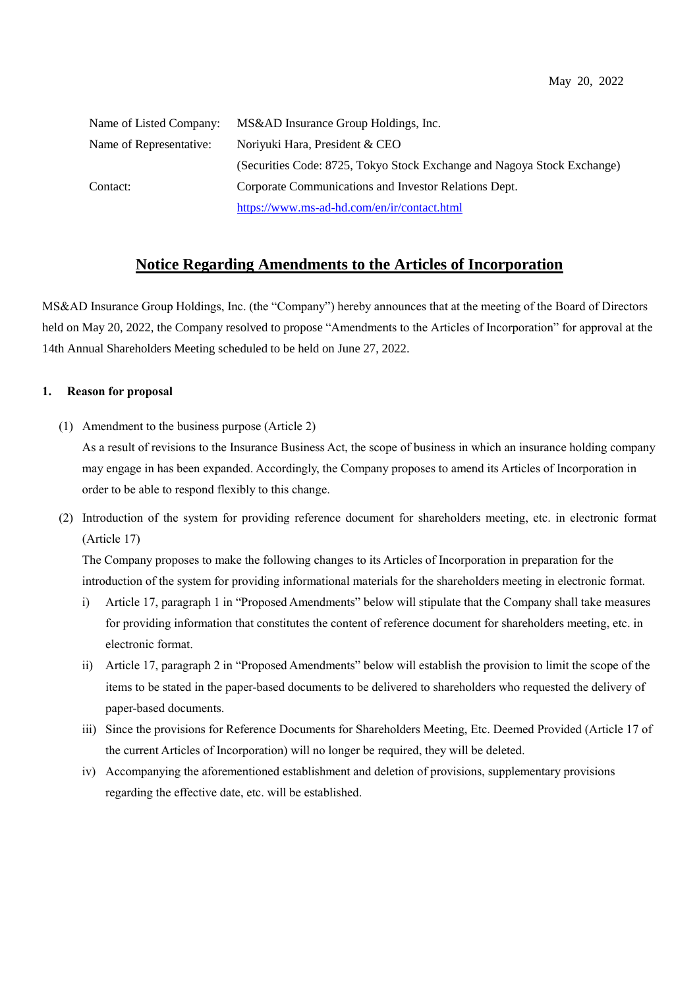| Name of Listed Company: | MS&AD Insurance Group Holdings, Inc.                                    |  |
|-------------------------|-------------------------------------------------------------------------|--|
| Name of Representative: | Noriyuki Hara, President & CEO                                          |  |
|                         | (Securities Code: 8725, Tokyo Stock Exchange and Nagoya Stock Exchange) |  |
| Contact:                | Corporate Communications and Investor Relations Dept.                   |  |
|                         | https://www.ms-ad-hd.com/en/ir/contact.html                             |  |

## **Notice Regarding Amendments to the Articles of Incorporation**

MS&AD Insurance Group Holdings, Inc. (the "Company") hereby announces that at the meeting of the Board of Directors held on May 20, 2022, the Company resolved to propose "Amendments to the Articles of Incorporation" for approval at the 14th Annual Shareholders Meeting scheduled to be held on June 27, 2022.

## **1. Reason for proposal**

(1) Amendment to the business purpose (Article 2)

As a result of revisions to the Insurance Business Act, the scope of business in which an insurance holding company may engage in has been expanded. Accordingly, the Company proposes to amend its Articles of Incorporation in order to be able to respond flexibly to this change.

(2) Introduction of the system for providing reference document for shareholders meeting, etc. in electronic format (Article 17)

The Company proposes to make the following changes to its Articles of Incorporation in preparation for the introduction of the system for providing informational materials for the shareholders meeting in electronic format.

- i) Article 17, paragraph 1 in "Proposed Amendments" below will stipulate that the Company shall take measures for providing information that constitutes the content of reference document for shareholders meeting, etc. in electronic format.
- ii) Article 17, paragraph 2 in "Proposed Amendments" below will establish the provision to limit the scope of the items to be stated in the paper-based documents to be delivered to shareholders who requested the delivery of paper-based documents.
- iii) Since the provisions for Reference Documents for Shareholders Meeting, Etc. Deemed Provided (Article 17 of the current Articles of Incorporation) will no longer be required, they will be deleted.
- iv) Accompanying the aforementioned establishment and deletion of provisions, supplementary provisions regarding the effective date, etc. will be established.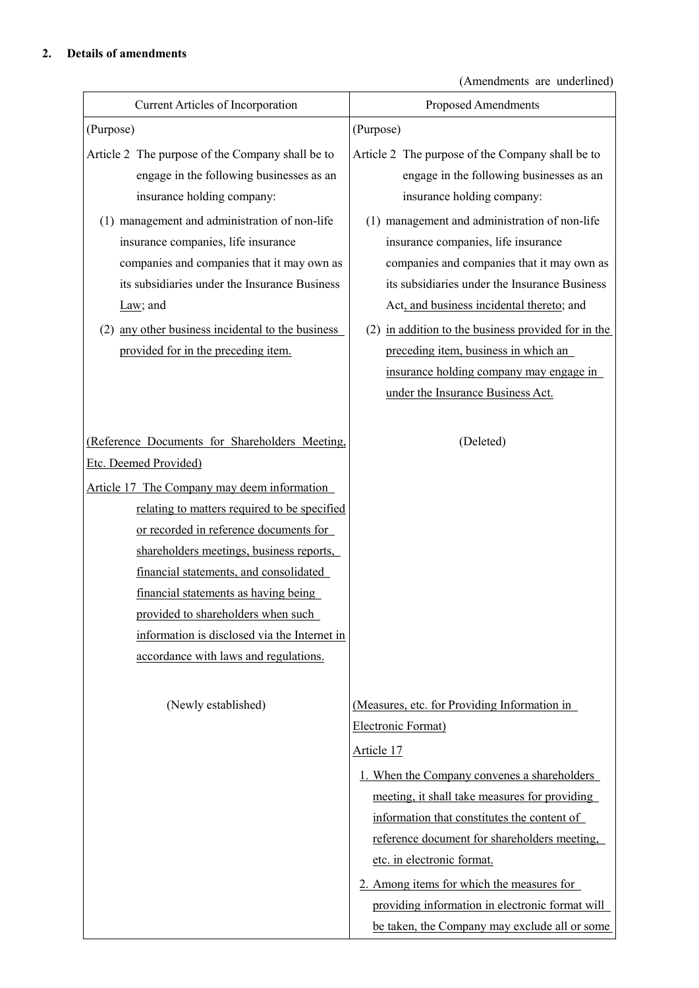## **2. Details of amendments**

(Amendments are underlined)

| Current Articles of Incorporation                                                                                                                                                                                                                                                                                                                                                                                                                                             | Proposed Amendments                                                                                                                                                                                                                                                                                                                                                                                                                                                                                      |
|-------------------------------------------------------------------------------------------------------------------------------------------------------------------------------------------------------------------------------------------------------------------------------------------------------------------------------------------------------------------------------------------------------------------------------------------------------------------------------|----------------------------------------------------------------------------------------------------------------------------------------------------------------------------------------------------------------------------------------------------------------------------------------------------------------------------------------------------------------------------------------------------------------------------------------------------------------------------------------------------------|
| (Purpose)                                                                                                                                                                                                                                                                                                                                                                                                                                                                     | (Purpose)                                                                                                                                                                                                                                                                                                                                                                                                                                                                                                |
| Article 2 The purpose of the Company shall be to<br>engage in the following businesses as an<br>insurance holding company:<br>(1) management and administration of non-life<br>insurance companies, life insurance<br>companies and companies that it may own as<br>its subsidiaries under the Insurance Business<br>Law; and<br>(2) any other business incidental to the business<br>provided for in the preceding item.                                                     | Article 2 The purpose of the Company shall be to<br>engage in the following businesses as an<br>insurance holding company:<br>(1) management and administration of non-life<br>insurance companies, life insurance<br>companies and companies that it may own as<br>its subsidiaries under the Insurance Business<br>Act, and business incidental thereto; and<br>(2) in addition to the business provided for in the<br>preceding item, business in which an<br>insurance holding company may engage in |
|                                                                                                                                                                                                                                                                                                                                                                                                                                                                               | under the Insurance Business Act.                                                                                                                                                                                                                                                                                                                                                                                                                                                                        |
| (Reference Documents for Shareholders Meeting,<br>Etc. Deemed Provided)<br>Article 17 The Company may deem information<br>relating to matters required to be specified<br>or recorded in reference documents for<br>shareholders meetings, business reports,<br>financial statements, and consolidated<br>financial statements as having being<br>provided to shareholders when such<br>information is disclosed via the Internet in<br>accordance with laws and regulations. | (Deleted)                                                                                                                                                                                                                                                                                                                                                                                                                                                                                                |
| (Newly established)                                                                                                                                                                                                                                                                                                                                                                                                                                                           | (Measures, etc. for Providing Information in<br>Electronic Format)<br><u>Article 17</u><br>1. When the Company convenes a shareholders<br>meeting, it shall take measures for providing<br>information that constitutes the content of<br>reference document for shareholders meeting,<br>etc. in electronic format.<br>2. Among items for which the measures for<br>providing information in electronic format will<br>be taken, the Company may exclude all or some                                    |